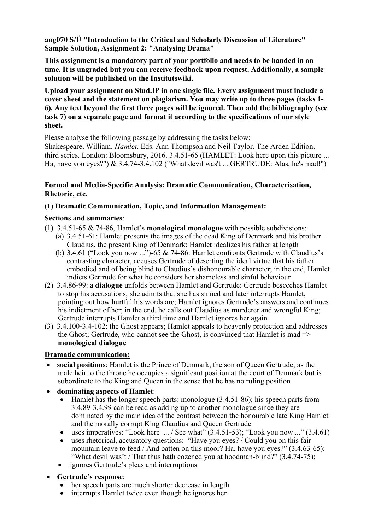**ang070 S/Ü "Introduction to the Critical and Scholarly Discussion of Literature" Sample Solution, Assignment 2: "Analysing Drama"** 

**This assignment is a mandatory part of your portfolio and needs to be handed in on time. It is ungraded but you can receive feedback upon request. Additionally, a sample solution will be published on the Institutswiki.** 

**Upload your assignment on Stud.IP in one single file. Every assignment must include a cover sheet and the statement on plagiarism. You may write up to three pages (tasks 1- 6). Any text beyond the first three pages will be ignored. Then add the bibliography (see task 7) on a separate page and format it according to the specifications of our style sheet.** 

Please analyse the following passage by addressing the tasks below:

Shakespeare, William. *Hamlet*. Eds. Ann Thompson and Neil Taylor. The Arden Edition, third series. London: Bloomsbury, 2016. 3.4.51‐65 (HAMLET: Look here upon this picture ... Ha, have you eyes?") & 3.4.74‐3.4.102 ("What devil was't ... GERTRUDE: Alas, he's mad!")

## **Formal and Media-Specific Analysis: Dramatic Communication, Characterisation, Rhetoric, etc.**

# **(1) Dramatic Communication, Topic, and Information Management:**

# **Sections and summaries**:

- (1) 3.4.51-65 & 74-86, Hamlet's **monological monologue** with possible subdivisions:
	- (a) 3.4.51-61: Hamlet presents the images of the dead King of Denmark and his brother Claudius, the present King of Denmark; Hamlet idealizes his father at length
	- (b) 3.4.61 ("Look you now ...")-65 & 74-86: Hamlet confronts Gertrude with Claudius's contrasting character, accuses Gertrude of deserting the ideal virtue that his father embodied and of being blind to Claudius's dishonourable character; in the end, Hamlet indicts Gertrude for what he considers her shameless and sinful behaviour
- (2) 3.4.86-99: a **dialogue** unfolds between Hamlet and Gertrude: Gertrude beseeches Hamlet to stop his accusations; she admits that she has sinned and later interrupts Hamlet, pointing out how hurtful his words are; Hamlet ignores Gertrude's answers and continues his indictment of her; in the end, he calls out Claudius as murderer and wrongful King; Gertrude interrupts Hamlet a third time and Hamlet ignores her again
- (3) 3.4.100-3.4-102: the Ghost appears; Hamlet appeals to heavenly protection and addresses the Ghost; Gertrude, who cannot see the Ghost, is convinced that Hamlet is mad  $\Rightarrow$ **monological dialogue**

## **Dramatic communication:**

- **social positions**: Hamlet is the Prince of Denmark, the son of Queen Gertrude; as the male heir to the throne he occupies a significant position at the court of Denmark but is subordinate to the King and Queen in the sense that he has no ruling position
- **dominating aspects of Hamlet**:
	- $\bullet$  Hamlet has the longer speech parts: monologue (3.4.51-86); his speech parts from 3.4.89-3.4.99 can be read as adding up to another monologue since they are dominated by the main idea of the contrast between the honourable late King Hamlet and the morally corrupt King Claudius and Queen Gertrude
	- uses imperatives: "Look here  $\ldots$  / See what" (3.4.51-53); "Look you now  $\ldots$ " (3.4.61)
	- uses rhetorical, accusatory questions: "Have you eyes? / Could you on this fair mountain leave to feed / And batten on this moor? Ha, have you eyes?" (3.4.63-65); "What devil was't / That thus hath cozened you at hoodman-blind?" (3.4.74-75);
	- ignores Gertrude's pleas and interruptions
- **Gertrude's response**:
	- her speech parts are much shorter decrease in length
	- interrupts Hamlet twice even though he ignores her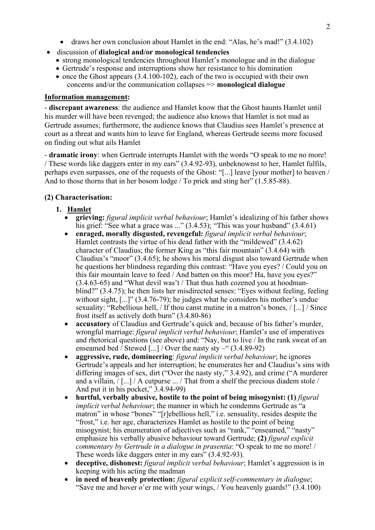- draws her own conclusion about Hamlet in the end: "Alas, he's mad!" (3.4.102)
- discussion of **dialogical and/or monological tendencies**
	- strong monological tendencies throughout Hamlet's monologue and in the dialogue
	- Gertrude's response and interruptions show her resistance to his domination
	- $\bullet$  once the Ghost appears (3.4.100-102), each of the two is occupied with their own concerns and/or the communication collapses => **monological dialogue**

#### **Information management:**

- **discrepant awareness**: the audience and Hamlet know that the Ghost haunts Hamlet until his murder will have been revenged; the audience also knows that Hamlet is not mad as Gertrude assumes; furthermore, the audience knows that Claudius sees Hamlet's presence at court as a threat and wants him to leave for England, whereas Gertrude seems more focused on finding out what ails Hamlet

- **dramatic irony**: when Gertrude interrupts Hamlet with the words "O speak to me no more! / These words like daggers enter in my ears" (3.4.92-93), unbeknownst to her, Hamlet fulfils, perhaps even surpasses, one of the requests of the Ghost: "[...] leave [your mother] to heaven / And to those thorns that in her bosom lodge / To prick and sting her" (1.5.85-88).

# **(2) Characterisation:**

# **1. Hamlet**

- **grieving:** *figural implicit verbal behaviour*; Hamlet's idealizing of his father shows his grief: "See what a grace was ..." (3.4.53); "This was your husband" (3.4.61)
- **enraged, morally disgusted, revengeful:** *figural implicit verbal behaviour*; Hamlet contrasts the virtue of his dead father with the "mildewed" (3.4.62) character of Claudius; the former King as "this fair mountain" (3.4.64) with Claudius's "moor" (3.4.65); he shows his moral disgust also toward Gertrude when he questions her blindness regarding this contrast: "Have you eyes? / Could you on this fair mountain leave to feed / And batten on this moor? Ha, have you eyes?"  $(3.4.63-65)$  and "What devil was't / That thus hath cozened you at hoodmanblind?" (3.4.75); he then lists her misdirected senses: "Eyes without feeling, feeling without sight, [...]" (3.4.76-79); he judges what he considers his mother's undue sexuality: "Rebellious hell, / If thou canst mutine in a matron's bones, / [...] / Since frost itself as actively doth burn" (3.4.80-86)
- **accusatory** of Claudius and Gertrude's quick and, because of his father's murder, wrongful marriage: *figural implicit verbal behaviour*; Hamlet's use of imperatives and rhetorical questions (see above) and: "Nay, but to live / In the rank sweat of an enseamed bed / Stewed  $\left[\ldots\right]$  / Over the nasty sty –" (3.4.89-92)
- **aggressive, rude, domineering**: *figural implicit verbal behaviour*; he ignores Gertrude's appeals and her interruption; he enumerates her and Claudius's sins with differing images of sex, dirt ("Over the nasty sty," 3.4.92), and crime ("A murderer and a villain, / [...] / A cutpurse ... / That from a shelf the precious diadem stole / And put it in his pocket," 3.4.94-99)
- **hurtful, verbally abusive, hostile to the point of being misogynist: (1)** *figural implicit verbal behaviour*; the manner in which he condemns Gertrude as "a matron" in whose "bones" "[r]ebellious hell," i.e. sensuality, resides despite the "frost," i.e. her age, characterizes Hamlet as hostile to the point of being misogynist; his enumeration of adjectives such as "rank," "enseamed," "nasty" emphasize his verbally abusive behaviour toward Gertrude; **(2)** *figural explicit commentary by Gertrude in a dialogue in prasentia*: "O speak to me no more! / These words like daggers enter in my ears" (3.4.92-93).
- **deceptive, dishonest:** *figural implicit verbal behaviour*; Hamlet's aggression is in keeping with his acting the madman
- **in need of heavenly protection:** *figural explicit self-commentary in dialogue*; "Save me and hover o'er me with your wings, / You heavenly guards!" (3.4.100)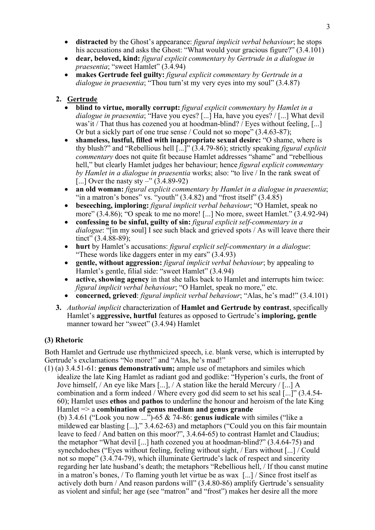- **distracted** by the Ghost's appearance: *figural implicit verbal behaviour*; he stops his accusations and asks the Ghost: "What would your gracious figure?" (3.4.101)
- **dear, beloved, kind:** *figural explicit commentary by Gertrude in a dialogue in praesentia*; "sweet Hamlet" (3.4.94)
- **makes Gertrude feel guilty:** *figural explicit commentary by Gertrude in a dialogue in praesentia*; "Thou turn'st my very eyes into my soul" (3.4.87)

## **2. Gertrude**

- **blind to virtue, morally corrupt:** *figural explicit commentary by Hamlet in a dialogue in praesentia*; "Have you eyes? [...] Ha, have you eyes? / [...] What devil was'it / That thus has cozened you at hoodman-blind? / Eyes without feeling, [...] Or but a sickly part of one true sense / Could not so mope" (3.4.63-87);
- **shameless, lustful, filled with inappropriate sexual desire:** "O shame, where is thy blush?" and "Rebellious hell [...]" (3.4.79-86); strictly speaking *figural explicit commentary* does not quite fit because Hamlet addresses "shame" and "rebellious hell," but clearly Hamlet judges her behaviour; hence *figural explicit commentary by Hamlet in a dialogue in praesentia* works; also: "to live / In the rank sweat of [...] Over the nasty sty –"  $(3.4.89-92)$
- **an old woman:** *figural explicit commentary by Hamlet in a dialogue in praesentia*; "in a matron's bones" vs. "youth"  $(3.4.82)$  and "frost itself"  $(3.4.85)$
- **beseeching, imploring:** *figural implicit verbal behaviour*; "O Hamlet, speak no more" (3.4.86); "O speak to me no more! [...] No more, sweet Hamlet." (3.4.92-94)
- **confessing to be sinful, guilty of sin:** *figural explicit self-commentary in a dialogue*: "[in my soul] I see such black and grieved spots / As will leave there their tinct" (3.4.88-89);
- **hurt** by Hamlet's accusations: *figural explicit self-commentary in a dialogue*: "These words like daggers enter in my ears" (3.4.93)
- **gentle, without aggression:** *figural implicit verbal behaviour*; by appealing to Hamlet's gentle, filial side: "sweet Hamlet" (3.4.94)
- **active, showing agency** in that she talks back to Hamlet and interrupts him twice: *figural implicit verbal behaviour*; "O Hamlet, speak no more," etc.
- **concerned, grieved**: *figural implicit verbal behaviour*; "Alas, he's mad!" (3.4.101)
- **3.** *Authorial implicit* characterization of **Hamlet and Gertrude by contrast**, specifically Hamlet's **aggressive, hurtful** features as opposed to Gertrude's **imploring, gentle** manner toward her "sweet" (3.4.94) Hamlet

## **(3) Rhetoric**

Both Hamlet and Gertrude use rhythmicized speech, i.e. blank verse, which is interrupted by Gertrude's exclamations "No more!" and "Alas, he's mad!"

(1) (a) 3.4.51-61: **genus demonstrativum;** ample use of metaphors and similes which idealize the late King Hamlet as radiant god and godlike: "Hyperion's curls, the front of Jove himself, / An eye like Mars [...], / A station like the herald Mercury / [...] A combination and a form indeed / Where every god did seem to set his seal [...]" (3.4.54- 60); Hamlet uses **ethos** and **pathos** to underline the honour and heroism of the late King Hamlet => a **combination of genus medium and genus grande** (b) 3.4.61 ("Look you now ...")-65 & 74-86: **genus iudicale** with similes ("like a mildewed ear blasting [...]," 3.4.62-63) and metaphors ("Could you on this fair mountain leave to feed / And batten on this moor?", 3.4.64-65) to contrast Hamlet and Claudius; the metaphor "What devil [...] hath cozened you at hoodman-blind?" (3.4.64-75) and synechdoches ("Eyes without feeling, feeling without sight, / Ears without [...] / Could not so mope" (3.4.74-79), which illuminate Gertrude's lack of respect and sincerity regarding her late husband's death; the metaphors "Rebellious hell, / If thou canst mutine in a matron's bones, / To flaming youth let virtue be as wax [...] / Since frost itself as actively doth burn / And reason pardons will" (3.4.80-86) amplify Gertrude's sensuality as violent and sinful; her age (see "matron" and "frost") makes her desire all the more